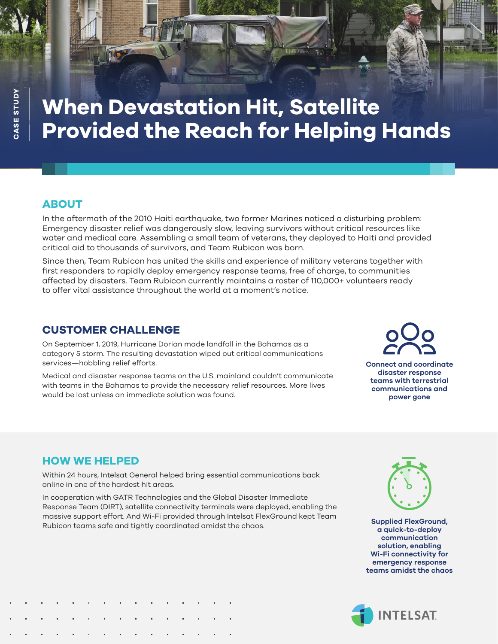# **When Devastation Hit, Satellite Provided the Reach for Helping Hands**

## **ABOUT**

In the aftermath of the 2010 Haiti earthquake, two former Marines noticed a disturbing problem: Emergency disaster relief was dangerously slow, leaving survivors without critical resources like water and medical care. Assembling a small team of veterans, they deployed to Haiti and provided critical aid to thousands of survivors, and Team Rubicon was born.

Since then, Team Rubicon has united the skills and experience of military veterans together with first responders to rapidly deploy emergency response teams, free of charge, to communities affected by disasters. Team Rubicon currently maintains a roster of 110,000+ volunteers ready to offer vital assistance throughout the world at a moment's notice.

### **CUSTOMER CHALLENGE**

On September 1, 2019, Hurricane Dorian made landfall in the Bahamas as a category 5 storm. The resulting devastation wiped out critical communications services—hobbling relief efforts.

Medical and disaster response teams on the U.S. mainland couldn't communicate with teams in the Bahamas to provide the necessary relief resources. More lives would be lost unless an immediate solution was found.

**Connect and coordinate disaster response teams with terrestrial communications and power gone** 

## **HOW WE HELPED**

Within 24 hours, Intelsat General helped bring essential communications back online in one of the hardest hit areas.

In cooperation with GATR Technologies and the Global Disaster Immediate Response Team (DIRT), satellite connectivity terminals were deployed, enabling the massive support effort. And Wi-Fi provided through Intelsat FlexGround kept Team Rubicon teams safe and tightly coordinated amidst the chaos.



**Supplied FlexGround, a quick-to-deploy communication solution, enabling Wi-Fi connectivity for emergency response teams amidst the chaos**